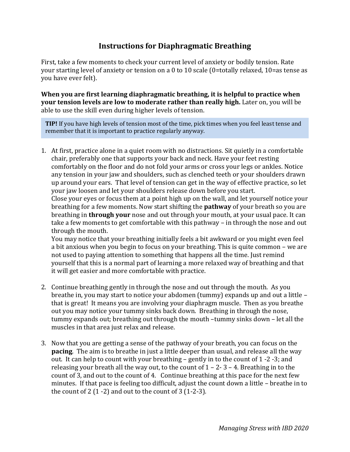## **Instructions for Diaphragmatic Breathing**

First, take a few moments to check your current level of anxiety or bodily tension. Rate your starting level of anxiety or tension on a 0 to 10 scale (0=totally relaxed, 10=as tense as you have ever felt).

**When you are first learning diaphragmatic breathing, it is helpful to practice when your tension levels are low to moderate rather than really high.** Later on, you will be able to use the skill even during higher levels of tension.

**TIP!** If you have high levels of tension most of the time, pick times when you feel least tense and remember that it is important to practice regularly anyway.

1. At first, practice alone in a quiet room with no distractions. Sit quietly in a comfortable chair, preferably one that supports your back and neck. Have your feet resting comfortably on the floor and do not fold your arms or cross your legs or ankles. Notice any tension in your jaw and shoulders, such as clenched teeth or your shoulders drawn up around your ears. That level of tension can get in the way of effective practice, so let your jaw loosen and let your shoulders release down before you start.

Close your eyes or focus them at a point high up on the wall, and let yourself notice your breathing for a few moments. Now start shifting the **pathway** of your breath so you are breathing in **through your** nose and out through your mouth, at your usual pace. It can take a few moments to get comfortable with this pathway – in through the nose and out through the mouth.

You may notice that your breathing initially feels a bit awkward or you might even feel a bit anxious when you begin to focus on your breathing. This is quite common – we are not used to paying attention to something that happens all the time. Just remind yourself that this is a normal part of learning a more relaxed way of breathing and that it will get easier and more comfortable with practice.

- 2. Continue breathing gently in through the nose and out through the mouth. As you breathe in, you may start to notice your abdomen (tummy) expands up and out a little – that is great! It means you are involving your diaphragm muscle. Then as you breathe out you may notice your tummy sinks back down. Breathing in through the nose, tummy expands out; breathing out through the mouth –tummy sinks down – let all the muscles in that area just relax and release.
- 3. Now that you are getting a sense of the pathway of your breath, you can focus on the **pacing**. The aim is to breathe in just a little deeper than usual, and release all the way out. It can help to count with your breathing – gently in to the count of 1 -2 -3; and releasing your breath all the way out, to the count of  $1 - 2 - 3 - 4$ . Breathing in to the count of 3, and out to the count of 4. Continue breathing at this pace for the next few minutes. If that pace is feeling too difficult, adjust the count down a little – breathe in to the count of  $2(1-2)$  and out to the count of  $3(1-2-3)$ .